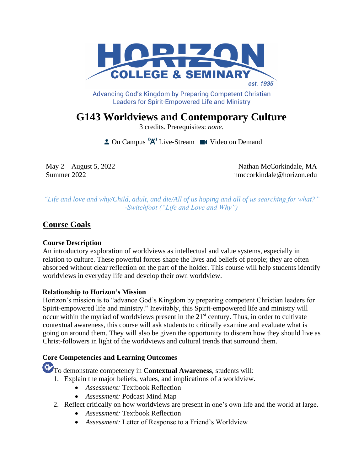

Advancing God's Kingdom by Preparing Competent Christian **Leaders for Spirit-Empowered Life and Ministry** 

**G143 Worldviews and Contemporary Culture** 

3 credits. Prerequisites: *none*.

 $\triangle$  On Campus  $^1A^1$  Live-Stream  $\blacksquare$  Video on Demand

May 2 – August 5, 2022 Nathan McCorkindale, MA Summer 2022 **nmccorkindale@horizon.edu** 

*"Life and love and why/Child, adult, and die/All of us hoping and all of us searching for what?" -Switchfoot ("Life and Love and Why")*

# **Course Goals**

# **Course Description**

An introductory exploration of worldviews as intellectual and value systems, especially in relation to culture. These powerful forces shape the lives and beliefs of people; they are often absorbed without clear reflection on the part of the holder. This course will help students identify worldviews in everyday life and develop their own worldview.

# **Relationship to Horizon's Mission**

Horizon's mission is to "advance God's Kingdom by preparing competent Christian leaders for Spirit-empowered life and ministry." Inevitably, this Spirit-empowered life and ministry will occur within the myriad of worldviews present in the  $21<sup>st</sup>$  century. Thus, in order to cultivate contextual awareness, this course will ask students to critically examine and evaluate what is going on around them. They will also be given the opportunity to discern how they should live as Christ-followers in light of the worldviews and cultural trends that surround them.

# **Core Competencies and Learning Outcomes**

To demonstrate competency in **Contextual Awareness***,* students will:

- 1. Explain the major beliefs, values, and implications of a worldview.
	- *Assessment:* Textbook Reflection
	- *Assessment:* Podcast Mind Map
- 2. Reflect critically on how worldviews are present in one's own life and the world at large.
	- *Assessment:* Textbook Reflection
	- *Assessment:* Letter of Response to a Friend's Worldview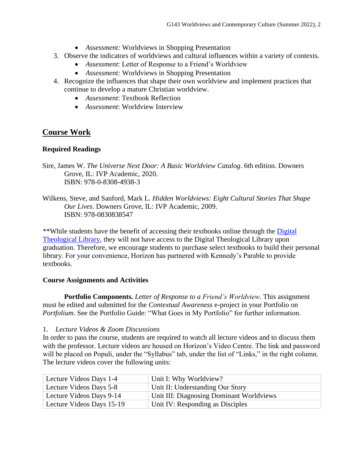- *Assessment:* Worldviews in Shopping Presentation
- 3. Observe the indicators of worldviews and cultural influences within a variety of contexts.
	- *Assessment*: Letter of Response to a Friend's Worldview
	- *Assessment:* Worldviews in Shopping Presentation
- 4. Recognize the influences that shape their own worldview and implement practices that continue to develop a mature Christian worldview.
	- *Assessment*: Textbook Reflection
	- *Assessment*: Worldview Interview

# **Course Work**

### **Required Readings**

- Sire, James W. *The Universe Next Door: A Basic Worldview Catalog*. 6th edition. Downers Grove, IL: IVP Academic, 2020. ISBN: 978-0-8308-4938-3
- Wilkens, Steve, and Sanford, Mark L. *Hidden Worldviews: Eight Cultural Stories That Shape Our Lives*. Downers Grove, IL: IVP Academic, 2009. ISBN: 978-0830838547

\*\*While students have the benefit of accessing their textbooks online through the [Digital](https://libguides.thedtl.org/home)  [Theological Library,](https://libguides.thedtl.org/home) they will not have access to the Digital Theological Library upon graduation. Therefore, we encourage students to purchase select textbooks to build their personal library. For your convenience, Horizon has partnered with Kennedy's Parable to provide textbooks.

#### **Course Assignments and Activities**

**Portfolio Components.** *Letter of Response to a Friend's Worldview.* This assignment must be edited and submitted for the *Contextual Awareness* e-project in your Portfolio on *Portfolium*. See the Portfolio Guide: "What Goes in My Portfolio" for further information.

1. *Lecture Videos & Zoom Discussions*

In order to pass the course, students are required to watch all lecture videos and to discuss them with the professor. Lecture videos are housed on Horizon's Video Centre. The link and password will be placed on Populi, under the "Syllabus" tab, under the list of "Links," in the right column. The lecture videos cover the following units:

| Lecture Videos Days 1-4   | Unit I: Why Worldview?                   |
|---------------------------|------------------------------------------|
| Lecture Videos Days 5-8   | Unit II: Understanding Our Story         |
| Lecture Videos Days 9-14  | Unit III: Diagnosing Dominant Worldviews |
| Lecture Videos Days 15-19 | Unit IV: Responding as Disciples         |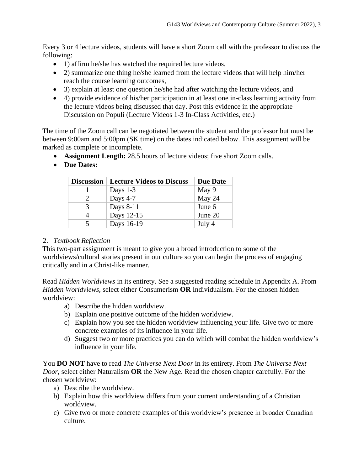Every 3 or 4 lecture videos, students will have a short Zoom call with the professor to discuss the following:

- 1) affirm he/she has watched the required lecture videos,
- 2) summarize one thing he/she learned from the lecture videos that will help him/her reach the course learning outcomes,
- 3) explain at least one question he/she had after watching the lecture videos, and
- 4) provide evidence of his/her participation in at least one in-class learning activity from the lecture videos being discussed that day. Post this evidence in the appropriate Discussion on Populi (Lecture Videos 1-3 In-Class Activities, etc.)

The time of the Zoom call can be negotiated between the student and the professor but must be between 9:00am and 5:00pm (SK time) on the dates indicated below. This assignment will be marked as complete or incomplete.

- **Assignment Length:** 28.5 hours of lecture videos; five short Zoom calls.
- **Due Dates:**

| <b>Discussion</b> | <b>Lecture Videos to Discuss</b> | <b>Due Date</b> |
|-------------------|----------------------------------|-----------------|
|                   | Days $1-3$                       | May 9           |
| 2                 | Days $4-7$                       | May $24$        |
| 3                 | Days 8-11                        | June 6          |
| 4                 | Days 12-15                       | June 20         |
| 5                 | Days 16-19                       | July 4          |

# 2. *Textbook Reflection*

This two-part assignment is meant to give you a broad introduction to some of the worldviews/cultural stories present in our culture so you can begin the process of engaging critically and in a Christ-like manner.

Read *Hidden Worldviews* in its entirety. See a suggested reading schedule in Appendix A. From *Hidden Worldviews*, select either Consumerism **OR** Individualism. For the chosen hidden worldview:

- a) Describe the hidden worldview.
- b) Explain one positive outcome of the hidden worldview.
- c) Explain how you see the hidden worldview influencing your life. Give two or more concrete examples of its influence in your life.
- d) Suggest two or more practices you can do which will combat the hidden worldview's influence in your life.

You **DO NOT** have to read *The Universe Next Door* in its entirety. From *The Universe Next Door*, select either Naturalism **OR** the New Age. Read the chosen chapter carefully. For the chosen worldview:

- a) Describe the worldview.
- b) Explain how this worldview differs from your current understanding of a Christian worldview.
- c) Give two or more concrete examples of this worldview's presence in broader Canadian culture.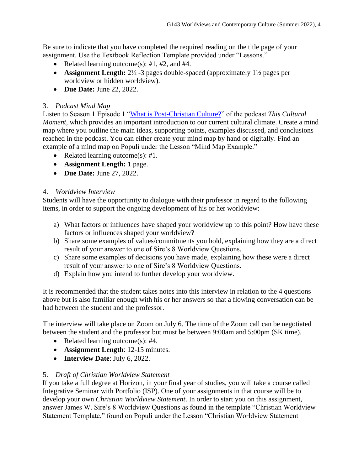Be sure to indicate that you have completed the required reading on the title page of your assignment. Use the Textbook Reflection Template provided under "Lessons."

- Related learning outcome(s): *#*1, #2, and #4.
- **Assignment Length:**  $2\frac{1}{2}$  -3 pages double-spaced (approximately  $1\frac{1}{2}$  pages per worldview or hidden worldview).
- **Due Date:** June 22, 2022.

# 3. *Podcast Mind Map*

Listen to Season 1 Episode 1 ["What is Post-Christian Culture?"](https://thisculturalmoment.podbean.com/e/what-is-post-christian-culture/) of the podcast *This Cultural Moment*, which provides an important introduction to our current cultural climate. Create a mind map where you outline the main ideas, supporting points, examples discussed, and conclusions reached in the podcast. You can either create your mind map by hand or digitally. Find an example of a mind map on Populi under the Lesson "Mind Map Example."

- Related learning outcome(s): #1.
- **Assignment Length:** 1 page.
- **Due Date:** June 27, 2022.

# 4. *Worldview Interview*

Students will have the opportunity to dialogue with their professor in regard to the following items, in order to support the ongoing development of his or her worldview:

- a) What factors or influences have shaped your worldview up to this point? How have these factors or influences shaped your worldview?
- b) Share some examples of values/commitments you hold, explaining how they are a direct result of your answer to one of Sire's 8 Worldview Questions.
- c) Share some examples of decisions you have made, explaining how these were a direct result of your answer to one of Sire's 8 Worldview Questions.
- d) Explain how you intend to further develop your worldview.

It is recommended that the student takes notes into this interview in relation to the 4 questions above but is also familiar enough with his or her answers so that a flowing conversation can be had between the student and the professor.

The interview will take place on Zoom on July 6. The time of the Zoom call can be negotiated between the student and the professor but must be between 9:00am and 5:00pm (SK time).

- Related learning outcome(s): #4.
- **Assignment Length**: 12-15 minutes.
- **Interview Date**: July 6, 2022.

# 5. *Draft of Christian Worldview Statement*

If you take a full degree at Horizon, in your final year of studies, you will take a course called Integrative Seminar with Portfolio (ISP). One of your assignments in that course will be to develop your own *Christian Worldview Statement*. In order to start you on this assignment, answer James W. Sire's 8 Worldview Questions as found in the template "Christian Worldview Statement Template," found on Populi under the Lesson "Christian Worldview Statement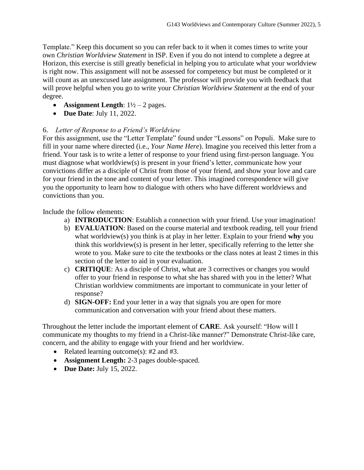Template." Keep this document so you can refer back to it when it comes times to write your own *Christian Worldview Statement* in ISP. Even if you do not intend to complete a degree at Horizon, this exercise is still greatly beneficial in helping you to articulate what your worldview is right now. This assignment will not be assessed for competency but must be completed or it will count as an unexcused late assignment. The professor will provide you with feedback that will prove helpful when you go to write your *Christian Worldview Statement* at the end of your degree.

- **Assignment Length**:  $1\frac{1}{2} 2$  pages.
- **Due Date**: July 11, 2022.

# 6. *Letter of Response to a Friend's Worldview*

For this assignment, use the "Letter Template" found under "Lessons" on Populi. Make sure to fill in your name where directed (i.e., *Your Name Here*). Imagine you received this letter from a friend. Your task is to write a letter of response to your friend using first-person language. You must diagnose what worldview(s) is present in your friend's letter, communicate how your convictions differ as a disciple of Christ from those of your friend, and show your love and care for your friend in the tone and content of your letter. This imagined correspondence will give you the opportunity to learn how to dialogue with others who have different worldviews and convictions than you.

Include the follow elements:

- a) **INTRODUCTION**: Establish a connection with your friend. Use your imagination!
- b) **EVALUATION**: Based on the course material and textbook reading, tell your friend what worldview(s) you think is at play in her letter. Explain to your friend **why** you think this worldview(s) is present in her letter, specifically referring to the letter she wrote to you. Make sure to cite the textbooks or the class notes at least 2 times in this section of the letter to aid in your evaluation.
- c) **CRITIQUE**: As a disciple of Christ, what are 3 correctives or changes you would offer to your friend in response to what she has shared with you in the letter? What Christian worldview commitments are important to communicate in your letter of response?
- d) **SIGN-OFF:** End your letter in a way that signals you are open for more communication and conversation with your friend about these matters.

Throughout the letter include the important element of **CARE**. Ask yourself: "How will I communicate my thoughts to my friend in a Christ-like manner?" Demonstrate Christ-like care, concern, and the ability to engage with your friend and her worldview.

- Related learning outcome(s): #2 and #3.
- **Assignment Length:** 2-3 pages double-spaced.
- **Due Date:** July 15, 2022.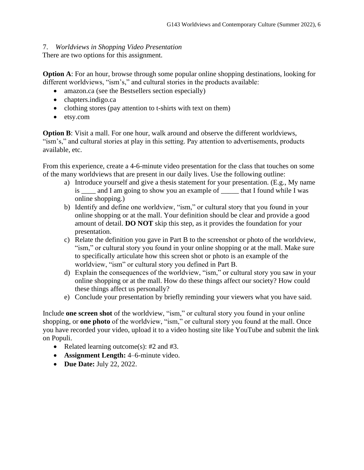# 7. *Worldviews in Shopping Video Presentation*

There are two options for this assignment.

**Option A**: For an hour, browse through some popular online shopping destinations, looking for different worldviews, "ism's," and cultural stories in the products available:

- amazon.ca (see the Bestsellers section especially)
- chapters.indigo.ca
- clothing stores (pay attention to t-shirts with text on them)
- etsy.com

**Option B**: Visit a mall. For one hour, walk around and observe the different worldviews, "ism's," and cultural stories at play in this setting. Pay attention to advertisements, products available, etc.

From this experience, create a 4-6-minute video presentation for the class that touches on some of the many worldviews that are present in our daily lives. Use the following outline:

- a) Introduce yourself and give a thesis statement for your presentation. (E.g., My name is \_\_\_\_ and I am going to show you an example of \_\_\_\_\_ that I found while I was online shopping.)
- b) Identify and define one worldview, "ism," or cultural story that you found in your online shopping or at the mall. Your definition should be clear and provide a good amount of detail. **DO NOT** skip this step, as it provides the foundation for your presentation.
- c) Relate the definition you gave in Part B to the screenshot or photo of the worldview, "ism," or cultural story you found in your online shopping or at the mall. Make sure to specifically articulate how this screen shot or photo is an example of the worldview, "ism" or cultural story you defined in Part B.
- d) Explain the consequences of the worldview, "ism," or cultural story you saw in your online shopping or at the mall. How do these things affect our society? How could these things affect us personally?
- e) Conclude your presentation by briefly reminding your viewers what you have said.

Include **one screen shot** of the worldview, "ism," or cultural story you found in your online shopping, or **one photo** of the worldview, "ism," or cultural story you found at the mall. Once you have recorded your video, upload it to a video hosting site like YouTube and submit the link on Populi.

- Related learning outcome(s):  $#2$  and  $#3$ .
- **Assignment Length:** 4–6-minute video.
- **Due Date:** July 22, 2022.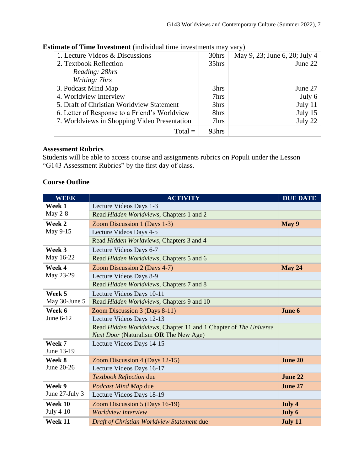| 1. Lecture Videos & Discussions               | 30hrs | May 9, 23; June 6, 20; July 4 |
|-----------------------------------------------|-------|-------------------------------|
| 2. Textbook Reflection                        | 35hrs | June 22                       |
| Reading: 28hrs                                |       |                               |
| Writing: 7hrs                                 |       |                               |
| 3. Podcast Mind Map                           | 3hrs  | June 27                       |
| 4. Worldview Interview                        | 7hrs  | July 6                        |
| 5. Draft of Christian Worldview Statement     | 3hrs  | July $11$                     |
| 6. Letter of Response to a Friend's Worldview | 8hrs  | July $15$                     |
| 7. Worldviews in Shopping Video Presentation  | 7hrs  | July 22                       |
| $Total =$                                     | 93hrs |                               |

# **Estimate of Time Investment** (individual time investments may vary)

# **Assessment Rubrics**

Students will be able to access course and assignments rubrics on Populi under the Lesson "G143 Assessment Rubrics" by the first day of class.

#### **Course Outline**

| <b>WEEK</b>          | <b>ACTIVITY</b>                                                  | <b>DUE DATE</b> |  |
|----------------------|------------------------------------------------------------------|-----------------|--|
| Week 1               | Lecture Videos Days 1-3                                          |                 |  |
| May $2-8$            | Read Hidden Worldviews, Chapters 1 and 2                         |                 |  |
| Week 2               | Zoom Discussion 1 (Days 1-3)                                     | May 9           |  |
| May 9-15             | Lecture Videos Days 4-5                                          |                 |  |
|                      | Read Hidden Worldviews, Chapters 3 and 4                         |                 |  |
| Week 3               | Lecture Videos Days 6-7                                          |                 |  |
| May 16-22            | Read Hidden Worldviews, Chapters 5 and 6                         |                 |  |
| Week 4               | Zoom Discussion 2 (Days 4-7)                                     | <b>May 24</b>   |  |
| May 23-29            | Lecture Videos Days 8-9                                          |                 |  |
|                      | Read Hidden Worldviews, Chapters 7 and 8                         |                 |  |
| Week 5               | Lecture Videos Days 10-11                                        |                 |  |
| May 30-June 5        | Read Hidden Worldviews, Chapters 9 and 10                        |                 |  |
| Week 6               | Zoom Discussion 3 (Days 8-11)                                    | June 6          |  |
| June 6-12            | Lecture Videos Days 12-13                                        |                 |  |
|                      | Read Hidden Worldviews, Chapter 11 and 1 Chapter of The Universe |                 |  |
|                      | Next Door (Naturalism OR The New Age)                            |                 |  |
| Week 7               | Lecture Videos Days 14-15                                        |                 |  |
| June 13-19           |                                                                  |                 |  |
| Week 8<br>June 20-26 | Zoom Discussion 4 (Days 12-15)                                   | <b>June 20</b>  |  |
|                      | Lecture Videos Days 16-17                                        | June 22         |  |
|                      | Textbook Reflection due                                          |                 |  |
| Week 9               | Podcast Mind Map due                                             | June 27         |  |
| June 27-July 3       | Lecture Videos Days 18-19                                        |                 |  |
| Week 10              | Zoom Discussion 5 (Days 16-19)                                   | July 4          |  |
| <b>July 4-10</b>     | <b>Worldview Interview</b>                                       | July 6          |  |
| Week 11              | Draft of Christian Worldview Statement due                       | July 11         |  |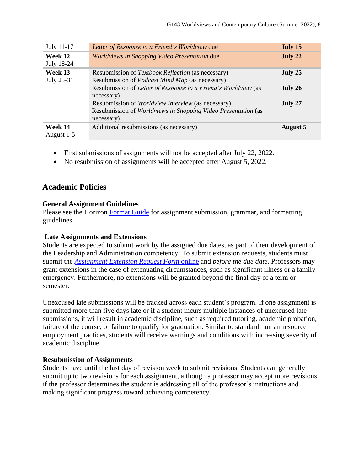| July 11-17            | Letter of Response to a Friend's Worldview due                                                                                    | July 15         |
|-----------------------|-----------------------------------------------------------------------------------------------------------------------------------|-----------------|
| Week 12<br>July 18-24 | Worldviews in Shopping Video Presentation due                                                                                     | July 22         |
| Week 13<br>July 25-31 | Resubmission of <i>Textbook Reflection</i> (as necessary)<br>Resubmission of <i>Podcast Mind Map</i> (as necessary)               | July 25         |
|                       | Resubmission of Letter of Response to a Friend's Worldview (as<br>necessary)                                                      | July 26         |
|                       | Resubmission of Worldview Interview (as necessary)<br>Resubmission of Worldviews in Shopping Video Presentation (as<br>necessary) | July 27         |
| Week 14<br>August 1-5 | Additional resubmissions (as necessary)                                                                                           | <b>August 5</b> |

- First submissions of assignments will not be accepted after July 22, 2022.
- No resubmission of assignments will be accepted after August 5, 2022.

# **Academic Policies**

### **General Assignment Guidelines**

Please see the Horizon [Format Guide](https://www.horizon.edu/students/resources/) for assignment submission, grammar, and formatting guidelines.

# **Late Assignments and Extensions**

Students are expected to submit work by the assigned due dates, as part of their development of the Leadership and Administration competency. To submit extension requests, students must submit the *[Assignment Extension Request Form](https://horizon.edu/forms/student/)* online and *before the due date*. Professors may grant extensions in the case of extenuating circumstances, such as significant illness or a family emergency. Furthermore, no extensions will be granted beyond the final day of a term or semester.

Unexcused late submissions will be tracked across each student's program. If one assignment is submitted more than five days late or if a student incurs multiple instances of unexcused late submissions, it will result in academic discipline, such as required tutoring, academic probation, failure of the course, or failure to qualify for graduation. Similar to standard human resource employment practices, students will receive warnings and conditions with increasing severity of academic discipline.

#### **Resubmission of Assignments**

Students have until the last day of revision week to submit revisions. Students can generally submit up to two revisions for each assignment, although a professor may accept more revisions if the professor determines the student is addressing all of the professor's instructions and making significant progress toward achieving competency.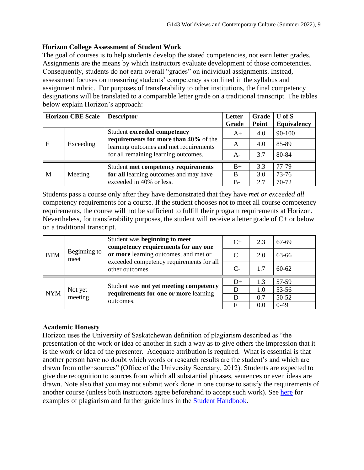# **Horizon College Assessment of Student Work**

The goal of courses is to help students develop the stated competencies, not earn letter grades. Assignments are the means by which instructors evaluate development of those competencies. Consequently, students do not earn overall "grades" on individual assignments. Instead, assessment focuses on measuring students' competency as outlined in the syllabus and assignment rubric. For purposes of transferability to other institutions, the final competency designations will be translated to a comparable letter grade on a traditional transcript. The tables below explain Horizon's approach:

| <b>Horizon CBE Scale</b> |           | <b>Descriptor</b>                                                                                                       | Letter<br>Grade | Grade<br>Point | $U$ of $S$<br>Equivalency |
|--------------------------|-----------|-------------------------------------------------------------------------------------------------------------------------|-----------------|----------------|---------------------------|
| E                        | Exceeding | Student exceeded competency                                                                                             | $A+$            | 4.0            | 90-100                    |
|                          |           | requirements for more than 40% of the<br>learning outcomes and met requirements<br>for all remaining learning outcomes. | A               | 4.0            | 85-89                     |
|                          |           |                                                                                                                         | $A-$            | 3.7            | 80-84                     |
|                          |           | Student met competency requirements                                                                                     | $B+$            | 3.3            | 77-79                     |
| M                        | Meeting   | for all learning outcomes and may have                                                                                  | B               | 3.0            | 73-76                     |
|                          |           | exceeded in 40% or less.                                                                                                | $B-$            | 2.7            | 70-72                     |

Students pass a course only after they have demonstrated that they have *met or exceeded all*  competency requirements for a course. If the student chooses not to meet all course competency requirements, the course will not be sufficient to fulfill their program requirements at Horizon. Nevertheless, for transferability purposes, the student will receive a letter grade of C+ or below on a traditional transcript.

| <b>BTM</b> | Beginning to<br>meet | Student was beginning to meet<br>competency requirements for any one<br>or more learning outcomes, and met or<br>exceeded competency requirements for all<br>other outcomes. | $C+$ | 2.3 | 67-69     |
|------------|----------------------|------------------------------------------------------------------------------------------------------------------------------------------------------------------------------|------|-----|-----------|
|            |                      |                                                                                                                                                                              |      | 2.0 | 63-66     |
|            |                      |                                                                                                                                                                              | $C-$ | 1.7 | $60 - 62$ |
| <b>NYM</b> | Not yet<br>meeting   | Student was not yet meeting competency<br>requirements for one or more learning<br>outcomes.                                                                                 | $D+$ | 1.3 | 57-59     |
|            |                      |                                                                                                                                                                              | D    | 1.0 | 53-56     |
|            |                      |                                                                                                                                                                              | $D-$ | 0.7 | 50-52     |
|            |                      |                                                                                                                                                                              | F    | 0.0 | $0-49$    |

# **Academic Honesty**

Horizon uses the University of Saskatchewan definition of plagiarism described as "the presentation of the work or idea of another in such a way as to give others the impression that it is the work or idea of the presenter. Adequate attribution is required. What is essential is that another person have no doubt which words or research results are the student's and which are drawn from other sources" (Office of the University Secretary, 2012). Students are expected to give due recognition to sources from which all substantial phrases, sentences or even ideas are drawn. Note also that you may not submit work done in one course to satisfy the requirements of another course (unless both instructors agree beforehand to accept such work). See [here](http://www.turnitin.com/assets/en_us/media/plagiarism_spectrum.php) for examples of plagiarism and further guidelines in the [Student Handbook.](https://www.horizon.edu/students/resources/)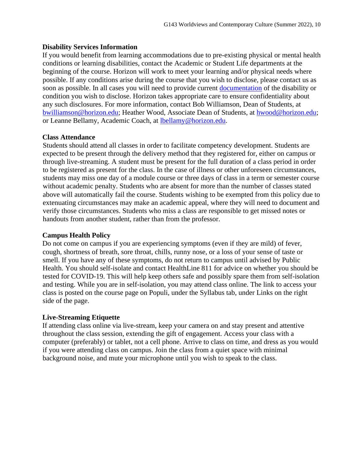### **Disability Services Information**

If you would benefit from learning accommodations due to pre-existing physical or mental health conditions or learning disabilities, contact the Academic or Student Life departments at the beginning of the course. Horizon will work to meet your learning and/or physical needs where possible. If any conditions arise during the course that you wish to disclose, please contact us as soon as possible. In all cases you will need to provide current [documentation](https://www.horizon.edu/students/support/) of the disability or condition you wish to disclose. Horizon takes appropriate care to ensure confidentiality about any such disclosures. For more information, contact Bob Williamson, Dean of Students, at [bwilliamson@horizon.edu;](mailto:bwilliamson@horizon.edu) Heather Wood, Associate Dean of Students, at [hwood@horizon.edu;](mailto:hwood@horizon.edu) or Leanne Bellamy, Academic Coach, at [lbellamy@horizon.edu.](mailto:lbellamy@horizon.edu)

### **Class Attendance**

Students should attend all classes in order to facilitate competency development. Students are expected to be present through the delivery method that they registered for, either on campus or through live-streaming. A student must be present for the full duration of a class period in order to be registered as present for the class. In the case of illness or other unforeseen circumstances, students may miss one day of a module course or three days of class in a term or semester course without academic penalty. Students who are absent for more than the number of classes stated above will automatically fail the course. Students wishing to be exempted from this policy due to extenuating circumstances may make an academic appeal, where they will need to document and verify those circumstances. Students who miss a class are responsible to get missed notes or handouts from another student, rather than from the professor.

#### **Campus Health Policy**

Do not come on campus if you are experiencing symptoms (even if they are mild) of fever, cough, shortness of breath, sore throat, chills, runny nose, or a loss of your sense of taste or smell. If you have any of these symptoms, do not return to campus until advised by Public Health. You should self-isolate and contact HealthLine 811 for advice on whether you should be tested for COVID-19. This will help keep others safe and possibly spare them from self-isolation and testing. While you are in self-isolation, you may attend class online. The link to access your class is posted on the course page on Populi, under the Syllabus tab, under Links on the right side of the page.

#### **Live-Streaming Etiquette**

If attending class online via live-stream, keep your camera on and stay present and attentive throughout the class session, extending the gift of engagement. Access your class with a computer (preferably) or tablet, not a cell phone. Arrive to class on time, and dress as you would if you were attending class on campus. Join the class from a quiet space with minimal background noise, and mute your microphone until you wish to speak to the class.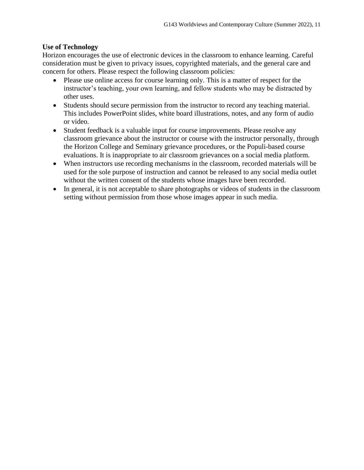# **Use of Technology**

Horizon encourages the use of electronic devices in the classroom to enhance learning. Careful consideration must be given to privacy issues, copyrighted materials, and the general care and concern for others. Please respect the following classroom policies:

- Please use online access for course learning only. This is a matter of respect for the instructor's teaching, your own learning, and fellow students who may be distracted by other uses.
- Students should secure permission from the instructor to record any teaching material. This includes PowerPoint slides, white board illustrations, notes, and any form of audio or video.
- Student feedback is a valuable input for course improvements. Please resolve any classroom grievance about the instructor or course with the instructor personally, through the Horizon College and Seminary grievance procedures, or the Populi-based course evaluations. It is inappropriate to air classroom grievances on a social media platform.
- When instructors use recording mechanisms in the classroom, recorded materials will be used for the sole purpose of instruction and cannot be released to any social media outlet without the written consent of the students whose images have been recorded.
- In general, it is not acceptable to share photographs or videos of students in the classroom setting without permission from those whose images appear in such media.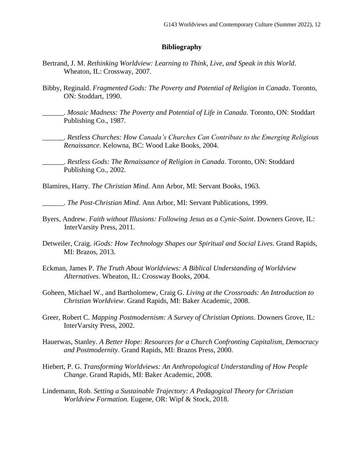#### **Bibliography**

- Bertrand, J. M. *Rethinking Worldview: Learning to Think, Live, and Speak in this World*. Wheaton, IL: Crossway, 2007.
- Bibby, Reginald. *Fragmented Gods: The Poverty and Potential of Religion in Canada*. Toronto, ON: Stoddart, 1990.
	- \_\_\_\_\_\_. *Mosaic Madness: The Poverty and Potential of Life in Canada*. Toronto, ON: Stoddart Publishing Co., 1987.
		- \_\_\_\_\_\_. *Restless Churches: How Canada's Churches Can Contribute to the Emerging Religious Renaissance*. Kelowna, BC: Wood Lake Books, 2004.
	- \_\_\_\_\_\_. *Restless Gods: The Renaissance of Religion in Canada*. Toronto, ON: Stoddard Publishing Co., 2002.

Blamires, Harry. *The Christian Mind*. Ann Arbor, MI: Servant Books, 1963.

\_\_\_\_\_\_. *The Post-Christian Mind*. Ann Arbor, MI: Servant Publications, 1999.

- Byers, Andrew. *Faith without Illusions: Following Jesus as a Cynic-Saint*. Downers Grove, IL: InterVarsity Press, 2011.
- Detweiler, Craig. *iGods: How Technology Shapes our Spiritual and Social Lives*. Grand Rapids, MI: Brazos, 2013.
- Eckman, James P. *The Truth About Worldviews: A Biblical Understanding of Worldview Alternatives*. Wheaton, IL: Crossway Books, 2004.
- Goheen, Michael W., and Bartholomew, Craig G. *Living at the Crossroads: An Introduction to Christian Worldview*. Grand Rapids, MI: Baker Academic, 2008.
- Greer, Robert C. *Mapping Postmodernism: A Survey of Christian Options*. Downers Grove, IL: InterVarsity Press, 2002.
- Hauerwas, Stanley. *A Better Hope: Resources for a Church Confronting Capitalism, Democracy and Postmodernity*. Grand Rapids, MI: Brazos Press, 2000.
- Hiebert, P. G. *Transforming Worldviews: An Anthropological Understanding of How People Change*. Grand Rapids, MI: Baker Academic, 2008.
- Lindemann, Rob. *Setting a Sustainable Trajectory: A Pedagogical Theory for Christian Worldview Formation.* Eugene, OR: Wipf & Stock, 2018.